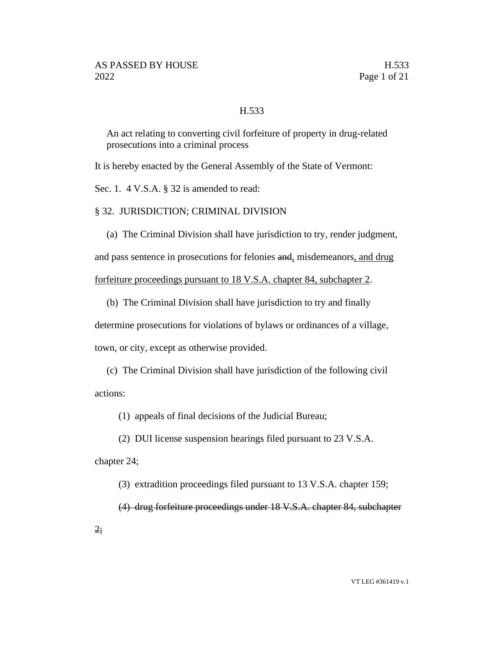### H.533

An act relating to converting civil forfeiture of property in drug-related prosecutions into a criminal process

It is hereby enacted by the General Assembly of the State of Vermont:

Sec. 1. 4 V.S.A. § 32 is amended to read:

§ 32. JURISDICTION; CRIMINAL DIVISION

(a) The Criminal Division shall have jurisdiction to try, render judgment,

and pass sentence in prosecutions for felonies and, misdemeanors, and drug

forfeiture proceedings pursuant to 18 V.S.A. chapter 84, subchapter 2.

(b) The Criminal Division shall have jurisdiction to try and finally

determine prosecutions for violations of bylaws or ordinances of a village,

town, or city, except as otherwise provided.

(c) The Criminal Division shall have jurisdiction of the following civil actions:

(1) appeals of final decisions of the Judicial Bureau;

(2) DUI license suspension hearings filed pursuant to 23 V.S.A.

chapter 24;

(3) extradition proceedings filed pursuant to 13 V.S.A. chapter 159;

(4) drug forfeiture proceedings under 18 V.S.A. chapter 84, subchapter

2;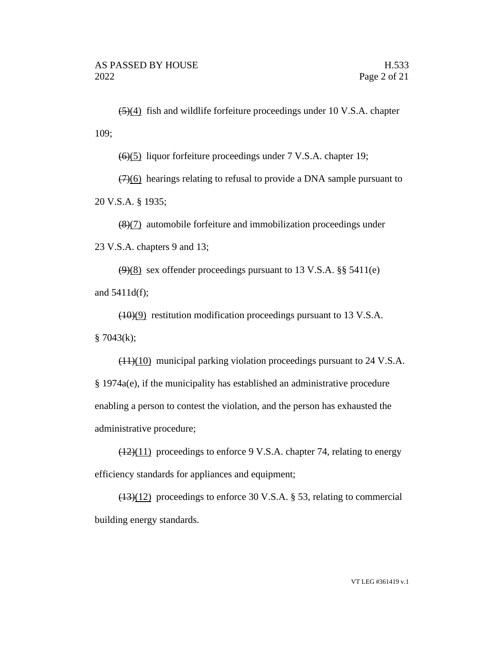$\left(\frac{5}{4}\right)$  fish and wildlife forfeiture proceedings under 10 V.S.A. chapter 109;

(6)(5) liquor forfeiture proceedings under 7 V.S.A. chapter 19;

 $(7)(6)$  hearings relating to refusal to provide a DNA sample pursuant to 20 V.S.A. § 1935;

(8)(7) automobile forfeiture and immobilization proceedings under 23 V.S.A. chapters 9 and 13;

 $(9)(8)$  sex offender proceedings pursuant to 13 V.S.A. §§ 5411(e) and 5411d(f);

(10)(9) restitution modification proceedings pursuant to 13 V.S.A.  $§ 7043(k);$ 

 $(11)(10)$  municipal parking violation proceedings pursuant to 24 V.S.A. § 1974a(e), if the municipality has established an administrative procedure enabling a person to contest the violation, and the person has exhausted the administrative procedure;

 $(12)(11)$  proceedings to enforce 9 V.S.A. chapter 74, relating to energy efficiency standards for appliances and equipment;

(13)(12) proceedings to enforce 30 V.S.A. § 53, relating to commercial building energy standards.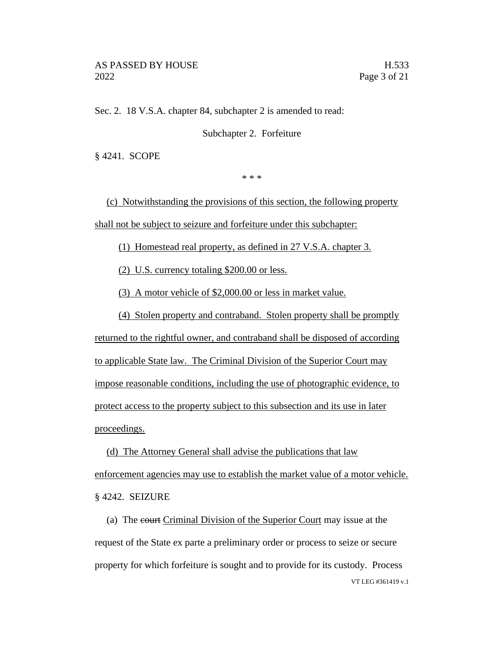Sec. 2. 18 V.S.A. chapter 84, subchapter 2 is amended to read:

Subchapter 2. Forfeiture

§ 4241. SCOPE

\* \* \*

(c) Notwithstanding the provisions of this section, the following property shall not be subject to seizure and forfeiture under this subchapter:

(1) Homestead real property, as defined in 27 V.S.A. chapter 3.

(2) U.S. currency totaling \$200.00 or less.

(3) A motor vehicle of \$2,000.00 or less in market value.

(4) Stolen property and contraband. Stolen property shall be promptly

returned to the rightful owner, and contraband shall be disposed of according to applicable State law. The Criminal Division of the Superior Court may impose reasonable conditions, including the use of photographic evidence, to protect access to the property subject to this subsection and its use in later proceedings.

(d) The Attorney General shall advise the publications that law enforcement agencies may use to establish the market value of a motor vehicle. § 4242. SEIZURE

VT LEG #361419 v.1 (a) The court Criminal Division of the Superior Court may issue at the request of the State ex parte a preliminary order or process to seize or secure property for which forfeiture is sought and to provide for its custody. Process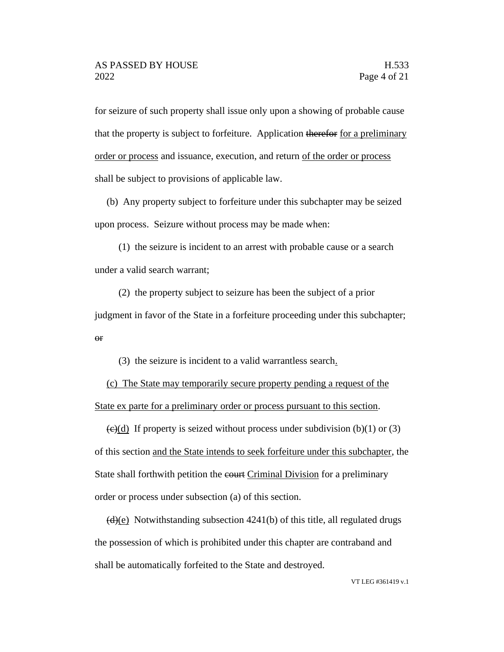for seizure of such property shall issue only upon a showing of probable cause that the property is subject to forfeiture. Application therefor for a preliminary order or process and issuance, execution, and return of the order or process shall be subject to provisions of applicable law.

(b) Any property subject to forfeiture under this subchapter may be seized upon process. Seizure without process may be made when:

(1) the seizure is incident to an arrest with probable cause or a search under a valid search warrant;

(2) the property subject to seizure has been the subject of a prior judgment in favor of the State in a forfeiture proceeding under this subchapter; or

(3) the seizure is incident to a valid warrantless search.

(c) The State may temporarily secure property pending a request of the State ex parte for a preliminary order or process pursuant to this section.

 $\left(\frac{e}{d}\right)$  If property is seized without process under subdivision (b)(1) or (3) of this section and the State intends to seek forfeiture under this subchapter, the State shall forthwith petition the court Criminal Division for a preliminary order or process under subsection (a) of this section.

 $\left(\frac{d}{e}\right)$  Notwithstanding subsection 4241(b) of this title, all regulated drugs the possession of which is prohibited under this chapter are contraband and shall be automatically forfeited to the State and destroyed.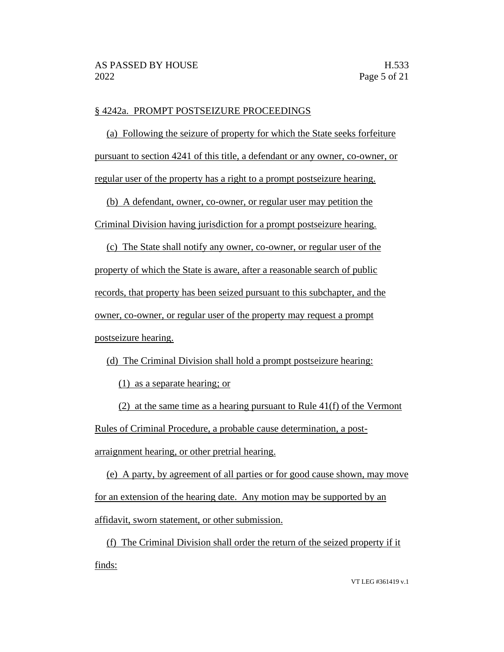#### § 4242a. PROMPT POSTSEIZURE PROCEEDINGS

(a) Following the seizure of property for which the State seeks forfeiture pursuant to section 4241 of this title, a defendant or any owner, co-owner, or regular user of the property has a right to a prompt postseizure hearing.

(b) A defendant, owner, co-owner, or regular user may petition the Criminal Division having jurisdiction for a prompt postseizure hearing.

(c) The State shall notify any owner, co-owner, or regular user of the property of which the State is aware, after a reasonable search of public records, that property has been seized pursuant to this subchapter, and the owner, co-owner, or regular user of the property may request a prompt postseizure hearing.

(d) The Criminal Division shall hold a prompt postseizure hearing:

(1) as a separate hearing; or

(2) at the same time as a hearing pursuant to Rule 41(f) of the Vermont Rules of Criminal Procedure, a probable cause determination, a postarraignment hearing, or other pretrial hearing.

(e) A party, by agreement of all parties or for good cause shown, may move for an extension of the hearing date. Any motion may be supported by an affidavit, sworn statement, or other submission.

(f) The Criminal Division shall order the return of the seized property if it finds: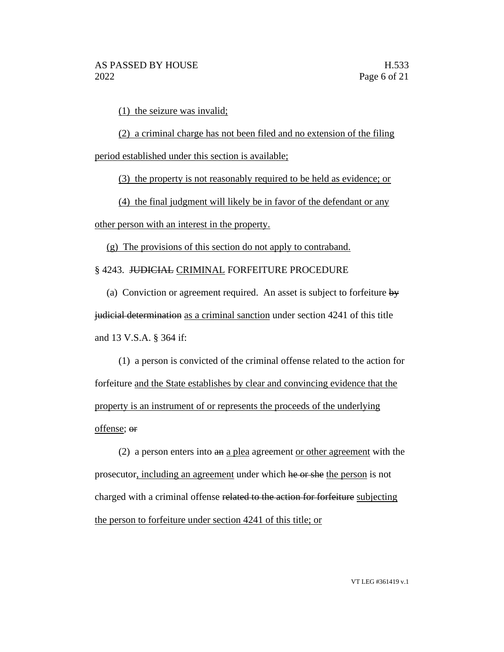(1) the seizure was invalid;

(2) a criminal charge has not been filed and no extension of the filing period established under this section is available;

(3) the property is not reasonably required to be held as evidence; or

(4) the final judgment will likely be in favor of the defendant or any

other person with an interest in the property.

(g) The provisions of this section do not apply to contraband.

§ 4243. JUDICIAL CRIMINAL FORFEITURE PROCEDURE

(a) Conviction or agreement required. An asset is subject to forfeiture  $\frac{dy}{dx}$ judicial determination as a criminal sanction under section 4241 of this title and 13 V.S.A. § 364 if:

(1) a person is convicted of the criminal offense related to the action for forfeiture and the State establishes by clear and convincing evidence that the property is an instrument of or represents the proceeds of the underlying offense; or

(2) a person enters into an a plea agreement or other agreement with the prosecutor, including an agreement under which he or she the person is not charged with a criminal offense related to the action for forfeiture subjecting the person to forfeiture under section 4241 of this title; or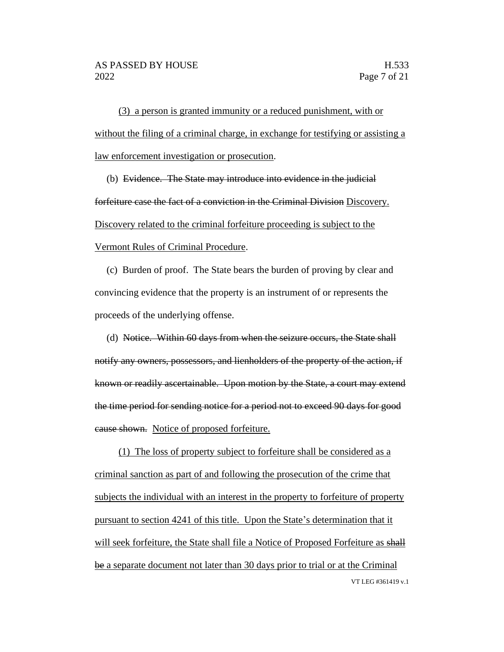(3) a person is granted immunity or a reduced punishment, with or without the filing of a criminal charge, in exchange for testifying or assisting a law enforcement investigation or prosecution.

(b) Evidence. The State may introduce into evidence in the judicial forfeiture case the fact of a conviction in the Criminal Division Discovery. Discovery related to the criminal forfeiture proceeding is subject to the Vermont Rules of Criminal Procedure.

(c) Burden of proof. The State bears the burden of proving by clear and convincing evidence that the property is an instrument of or represents the proceeds of the underlying offense.

(d) Notice. Within 60 days from when the seizure occurs, the State shall notify any owners, possessors, and lienholders of the property of the action, if known or readily ascertainable. Upon motion by the State, a court may extend the time period for sending notice for a period not to exceed 90 days for good cause shown. Notice of proposed forfeiture.

VT LEG #361419 v.1 (1) The loss of property subject to forfeiture shall be considered as a criminal sanction as part of and following the prosecution of the crime that subjects the individual with an interest in the property to forfeiture of property pursuant to section 4241 of this title. Upon the State's determination that it will seek forfeiture, the State shall file a Notice of Proposed Forfeiture as shall be a separate document not later than 30 days prior to trial or at the Criminal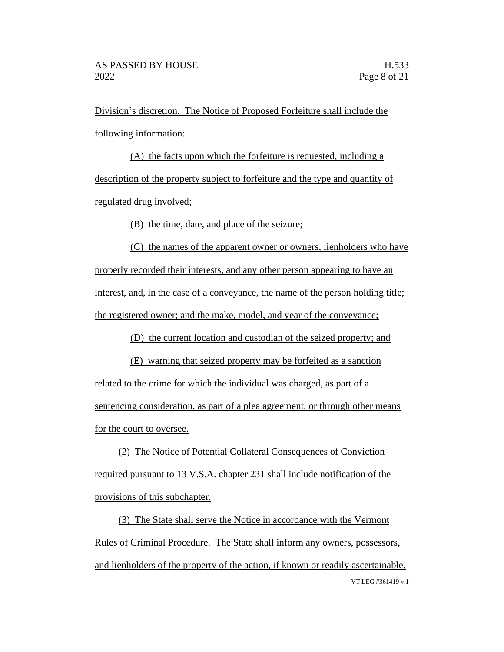Division's discretion. The Notice of Proposed Forfeiture shall include the following information:

(A) the facts upon which the forfeiture is requested, including a description of the property subject to forfeiture and the type and quantity of regulated drug involved;

(B) the time, date, and place of the seizure;

(C) the names of the apparent owner or owners, lienholders who have properly recorded their interests, and any other person appearing to have an interest, and, in the case of a conveyance, the name of the person holding title; the registered owner; and the make, model, and year of the conveyance;

(D) the current location and custodian of the seized property; and

(E) warning that seized property may be forfeited as a sanction related to the crime for which the individual was charged, as part of a sentencing consideration, as part of a plea agreement, or through other means for the court to oversee.

(2) The Notice of Potential Collateral Consequences of Conviction required pursuant to 13 V.S.A. chapter 231 shall include notification of the provisions of this subchapter.

VT LEG #361419 v.1 (3) The State shall serve the Notice in accordance with the Vermont Rules of Criminal Procedure. The State shall inform any owners, possessors, and lienholders of the property of the action, if known or readily ascertainable.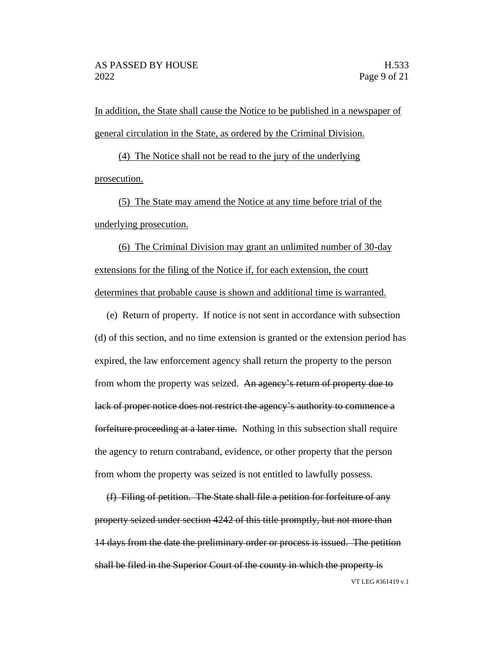In addition, the State shall cause the Notice to be published in a newspaper of general circulation in the State, as ordered by the Criminal Division.

(4) The Notice shall not be read to the jury of the underlying prosecution.

(5) The State may amend the Notice at any time before trial of the underlying prosecution.

(6) The Criminal Division may grant an unlimited number of 30-day extensions for the filing of the Notice if, for each extension, the court determines that probable cause is shown and additional time is warranted.

(e) Return of property. If notice is not sent in accordance with subsection (d) of this section, and no time extension is granted or the extension period has expired, the law enforcement agency shall return the property to the person from whom the property was seized. An agency's return of property due to lack of proper notice does not restrict the agency's authority to commence a forfeiture proceeding at a later time. Nothing in this subsection shall require the agency to return contraband, evidence, or other property that the person from whom the property was seized is not entitled to lawfully possess.

VT LEG #361419 v.1 (f) Filing of petition. The State shall file a petition for forfeiture of any property seized under section 4242 of this title promptly, but not more than 14 days from the date the preliminary order or process is issued. The petition shall be filed in the Superior Court of the county in which the property is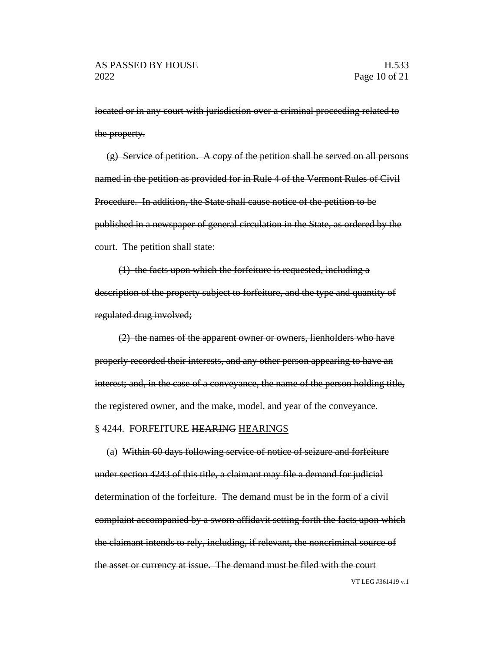located or in any court with jurisdiction over a criminal proceeding related to the property.

(g) Service of petition. A copy of the petition shall be served on all persons named in the petition as provided for in Rule 4 of the Vermont Rules of Civil Procedure. In addition, the State shall cause notice of the petition to be published in a newspaper of general circulation in the State, as ordered by the court. The petition shall state:

(1) the facts upon which the forfeiture is requested, including a description of the property subject to forfeiture, and the type and quantity of regulated drug involved;

(2) the names of the apparent owner or owners, lienholders who have properly recorded their interests, and any other person appearing to have an interest; and, in the case of a conveyance, the name of the person holding title, the registered owner, and the make, model, and year of the conveyance. § 4244. FORFEITURE HEARING HEARINGS

(a) Within 60 days following service of notice of seizure and forfeiture under section 4243 of this title, a claimant may file a demand for judicial determination of the forfeiture. The demand must be in the form of a civil complaint accompanied by a sworn affidavit setting forth the facts upon which the claimant intends to rely, including, if relevant, the noncriminal source of the asset or currency at issue. The demand must be filed with the court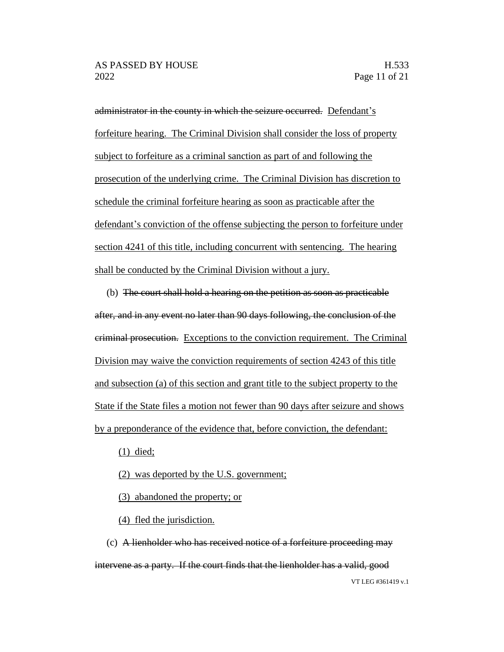administrator in the county in which the seizure occurred. Defendant's forfeiture hearing. The Criminal Division shall consider the loss of property subject to forfeiture as a criminal sanction as part of and following the prosecution of the underlying crime. The Criminal Division has discretion to schedule the criminal forfeiture hearing as soon as practicable after the defendant's conviction of the offense subjecting the person to forfeiture under section 4241 of this title, including concurrent with sentencing. The hearing shall be conducted by the Criminal Division without a jury.

(b) The court shall hold a hearing on the petition as soon as practicable after, and in any event no later than 90 days following, the conclusion of the criminal prosecution. Exceptions to the conviction requirement. The Criminal Division may waive the conviction requirements of section 4243 of this title and subsection (a) of this section and grant title to the subject property to the State if the State files a motion not fewer than 90 days after seizure and shows by a preponderance of the evidence that, before conviction, the defendant:

(1) died;

- (2) was deported by the U.S. government;
- (3) abandoned the property; or

(4) fled the jurisdiction.

VT LEG #361419 v.1 (c) A lienholder who has received notice of a forfeiture proceeding may intervene as a party. If the court finds that the lienholder has a valid, good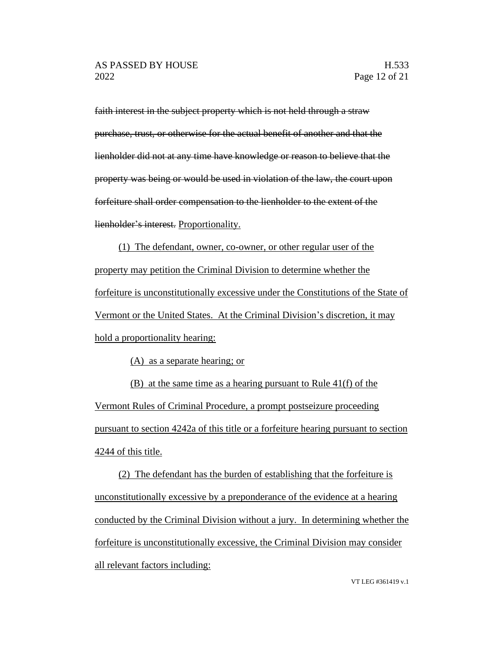faith interest in the subject property which is not held through a straw purchase, trust, or otherwise for the actual benefit of another and that the lienholder did not at any time have knowledge or reason to believe that the property was being or would be used in violation of the law, the court upon forfeiture shall order compensation to the lienholder to the extent of the lienholder's interest. Proportionality.

(1) The defendant, owner, co-owner, or other regular user of the property may petition the Criminal Division to determine whether the forfeiture is unconstitutionally excessive under the Constitutions of the State of Vermont or the United States. At the Criminal Division's discretion, it may hold a proportionality hearing:

(A) as a separate hearing; or

(B) at the same time as a hearing pursuant to Rule 41(f) of the Vermont Rules of Criminal Procedure, a prompt postseizure proceeding pursuant to section 4242a of this title or a forfeiture hearing pursuant to section 4244 of this title.

(2) The defendant has the burden of establishing that the forfeiture is unconstitutionally excessive by a preponderance of the evidence at a hearing conducted by the Criminal Division without a jury. In determining whether the forfeiture is unconstitutionally excessive, the Criminal Division may consider all relevant factors including: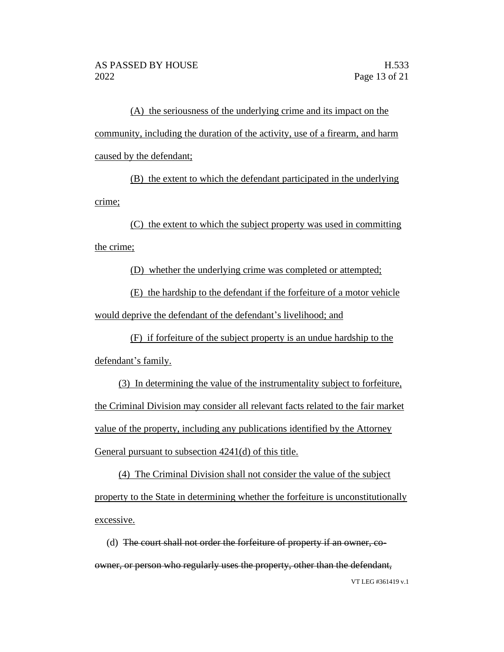(A) the seriousness of the underlying crime and its impact on the community, including the duration of the activity, use of a firearm, and harm caused by the defendant;

(B) the extent to which the defendant participated in the underlying crime;

(C) the extent to which the subject property was used in committing the crime;

(D) whether the underlying crime was completed or attempted;

(E) the hardship to the defendant if the forfeiture of a motor vehicle would deprive the defendant of the defendant's livelihood; and

(F) if forfeiture of the subject property is an undue hardship to the defendant's family.

(3) In determining the value of the instrumentality subject to forfeiture, the Criminal Division may consider all relevant facts related to the fair market value of the property, including any publications identified by the Attorney General pursuant to subsection 4241(d) of this title.

(4) The Criminal Division shall not consider the value of the subject property to the State in determining whether the forfeiture is unconstitutionally excessive.

VT LEG #361419 v.1 (d) The court shall not order the forfeiture of property if an owner, coowner, or person who regularly uses the property, other than the defendant,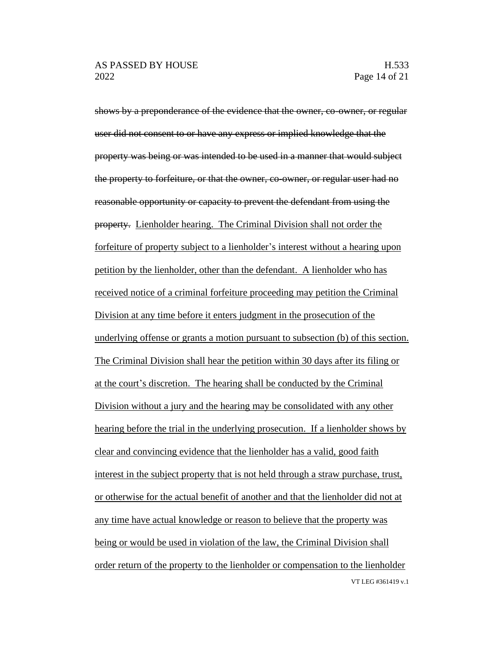VT LEG #361419 v.1 shows by a preponderance of the evidence that the owner, co-owner, or regular user did not consent to or have any express or implied knowledge that the property was being or was intended to be used in a manner that would subject the property to forfeiture, or that the owner, co-owner, or regular user had no reasonable opportunity or capacity to prevent the defendant from using the property. Lienholder hearing. The Criminal Division shall not order the forfeiture of property subject to a lienholder's interest without a hearing upon petition by the lienholder, other than the defendant. A lienholder who has received notice of a criminal forfeiture proceeding may petition the Criminal Division at any time before it enters judgment in the prosecution of the underlying offense or grants a motion pursuant to subsection (b) of this section. The Criminal Division shall hear the petition within 30 days after its filing or at the court's discretion. The hearing shall be conducted by the Criminal Division without a jury and the hearing may be consolidated with any other hearing before the trial in the underlying prosecution. If a lienholder shows by clear and convincing evidence that the lienholder has a valid, good faith interest in the subject property that is not held through a straw purchase, trust, or otherwise for the actual benefit of another and that the lienholder did not at any time have actual knowledge or reason to believe that the property was being or would be used in violation of the law, the Criminal Division shall order return of the property to the lienholder or compensation to the lienholder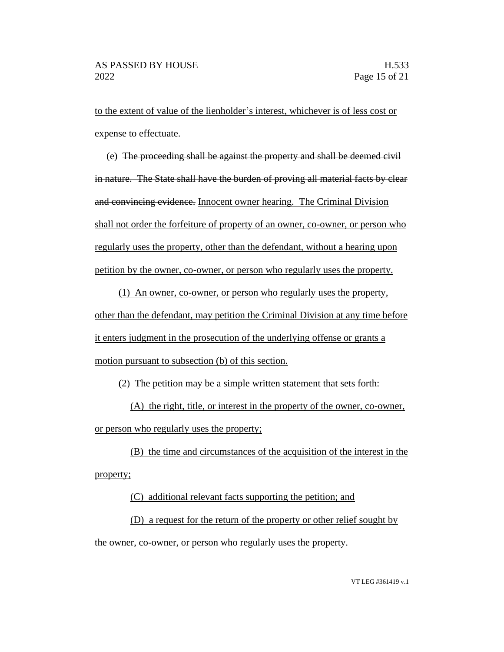to the extent of value of the lienholder's interest, whichever is of less cost or expense to effectuate.

(e) The proceeding shall be against the property and shall be deemed civil in nature. The State shall have the burden of proving all material facts by clear and convincing evidence. Innocent owner hearing. The Criminal Division shall not order the forfeiture of property of an owner, co-owner, or person who regularly uses the property, other than the defendant, without a hearing upon petition by the owner, co-owner, or person who regularly uses the property.

(1) An owner, co-owner, or person who regularly uses the property, other than the defendant, may petition the Criminal Division at any time before it enters judgment in the prosecution of the underlying offense or grants a motion pursuant to subsection (b) of this section.

(2) The petition may be a simple written statement that sets forth:

(A) the right, title, or interest in the property of the owner, co-owner, or person who regularly uses the property;

(B) the time and circumstances of the acquisition of the interest in the property;

(C) additional relevant facts supporting the petition; and

(D) a request for the return of the property or other relief sought by the owner, co-owner, or person who regularly uses the property.

VT LEG #361419 v.1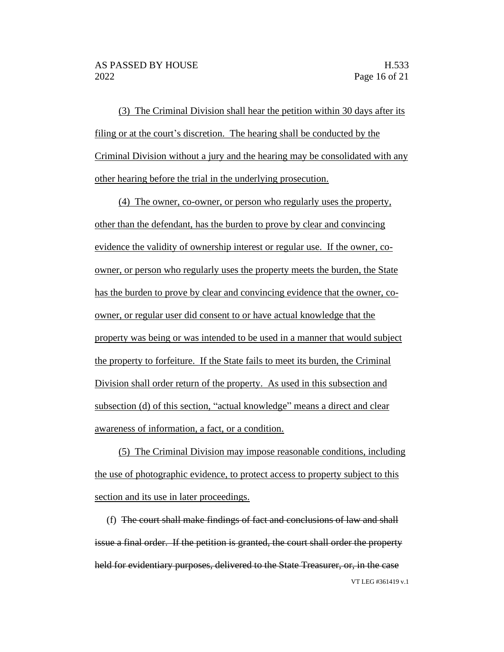(3) The Criminal Division shall hear the petition within 30 days after its filing or at the court's discretion. The hearing shall be conducted by the Criminal Division without a jury and the hearing may be consolidated with any other hearing before the trial in the underlying prosecution.

(4) The owner, co-owner, or person who regularly uses the property, other than the defendant, has the burden to prove by clear and convincing evidence the validity of ownership interest or regular use. If the owner, coowner, or person who regularly uses the property meets the burden, the State has the burden to prove by clear and convincing evidence that the owner, coowner, or regular user did consent to or have actual knowledge that the property was being or was intended to be used in a manner that would subject the property to forfeiture. If the State fails to meet its burden, the Criminal Division shall order return of the property. As used in this subsection and subsection (d) of this section, "actual knowledge" means a direct and clear awareness of information, a fact, or a condition.

(5) The Criminal Division may impose reasonable conditions, including the use of photographic evidence, to protect access to property subject to this section and its use in later proceedings.

VT LEG #361419 v.1 (f) The court shall make findings of fact and conclusions of law and shall issue a final order. If the petition is granted, the court shall order the property held for evidentiary purposes, delivered to the State Treasurer, or, in the case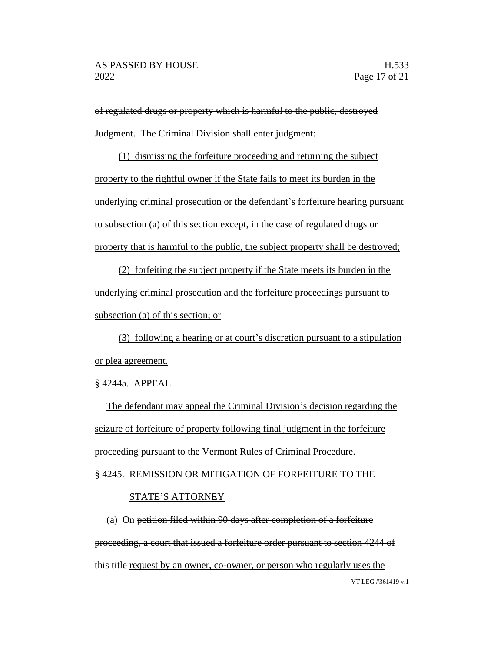of regulated drugs or property which is harmful to the public, destroyed Judgment. The Criminal Division shall enter judgment:

(1) dismissing the forfeiture proceeding and returning the subject property to the rightful owner if the State fails to meet its burden in the underlying criminal prosecution or the defendant's forfeiture hearing pursuant to subsection (a) of this section except, in the case of regulated drugs or property that is harmful to the public, the subject property shall be destroyed;

(2) forfeiting the subject property if the State meets its burden in the underlying criminal prosecution and the forfeiture proceedings pursuant to subsection (a) of this section; or

(3) following a hearing or at court's discretion pursuant to a stipulation or plea agreement.

## § 4244a. APPEAL

The defendant may appeal the Criminal Division's decision regarding the seizure of forfeiture of property following final judgment in the forfeiture proceeding pursuant to the Vermont Rules of Criminal Procedure. § 4245. REMISSION OR MITIGATION OF FORFEITURE TO THE

#### STATE'S ATTORNEY

VT LEG #361419 v.1 (a) On petition filed within 90 days after completion of a forfeiture proceeding, a court that issued a forfeiture order pursuant to section 4244 of this title request by an owner, co-owner, or person who regularly uses the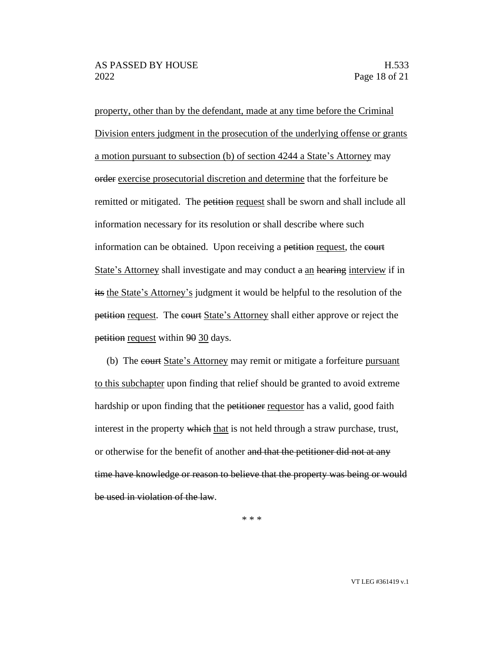property, other than by the defendant, made at any time before the Criminal Division enters judgment in the prosecution of the underlying offense or grants a motion pursuant to subsection (b) of section 4244 a State's Attorney may order exercise prosecutorial discretion and determine that the forfeiture be remitted or mitigated. The petition request shall be sworn and shall include all information necessary for its resolution or shall describe where such information can be obtained. Upon receiving a petition request, the court State's Attorney shall investigate and may conduct a an hearing interview if in its the State's Attorney's judgment it would be helpful to the resolution of the petition request. The court State's Attorney shall either approve or reject the petition request within 90 30 days.

(b) The court State's Attorney may remit or mitigate a forfeiture pursuant to this subchapter upon finding that relief should be granted to avoid extreme hardship or upon finding that the petitioner requestor has a valid, good faith interest in the property which that is not held through a straw purchase, trust, or otherwise for the benefit of another and that the petitioner did not at any time have knowledge or reason to believe that the property was being or would be used in violation of the law.

\* \* \*

VT LEG #361419 v.1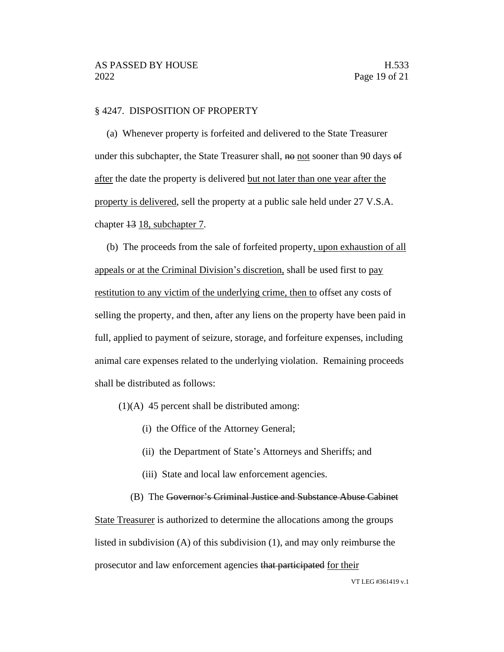#### § 4247. DISPOSITION OF PROPERTY

(a) Whenever property is forfeited and delivered to the State Treasurer under this subchapter, the State Treasurer shall,  $\theta$  not sooner than 90 days  $\theta$ after the date the property is delivered but not later than one year after the property is delivered, sell the property at a public sale held under 27 V.S.A. chapter 13 18, subchapter 7.

(b) The proceeds from the sale of forfeited property, upon exhaustion of all appeals or at the Criminal Division's discretion, shall be used first to pay restitution to any victim of the underlying crime, then to offset any costs of selling the property, and then, after any liens on the property have been paid in full, applied to payment of seizure, storage, and forfeiture expenses, including animal care expenses related to the underlying violation. Remaining proceeds shall be distributed as follows:

(1)(A) 45 percent shall be distributed among:

- (i) the Office of the Attorney General;
- (ii) the Department of State's Attorneys and Sheriffs; and
- (iii) State and local law enforcement agencies.

(B) The Governor's Criminal Justice and Substance Abuse Cabinet State Treasurer is authorized to determine the allocations among the groups listed in subdivision (A) of this subdivision (1), and may only reimburse the prosecutor and law enforcement agencies that participated for their

VT LEG #361419 v.1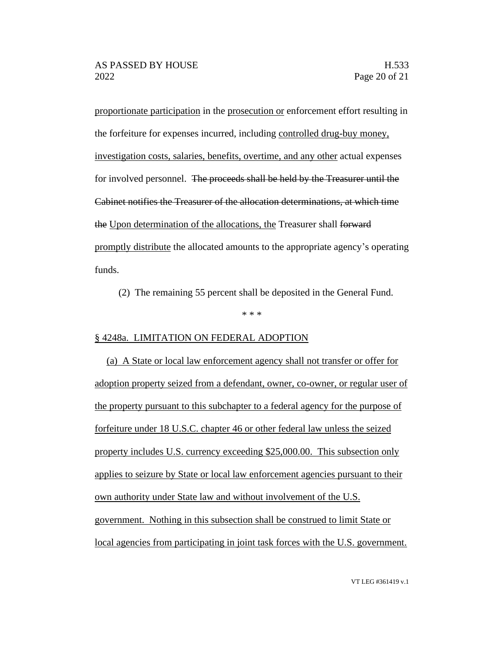proportionate participation in the prosecution or enforcement effort resulting in the forfeiture for expenses incurred, including controlled drug-buy money, investigation costs, salaries, benefits, overtime, and any other actual expenses for involved personnel. The proceeds shall be held by the Treasurer until the Cabinet notifies the Treasurer of the allocation determinations, at which time the Upon determination of the allocations, the Treasurer shall forward promptly distribute the allocated amounts to the appropriate agency's operating funds.

(2) The remaining 55 percent shall be deposited in the General Fund.

\* \* \*

# § 4248a. LIMITATION ON FEDERAL ADOPTION

(a) A State or local law enforcement agency shall not transfer or offer for adoption property seized from a defendant, owner, co-owner, or regular user of the property pursuant to this subchapter to a federal agency for the purpose of forfeiture under 18 U.S.C. chapter 46 or other federal law unless the seized property includes U.S. currency exceeding \$25,000.00. This subsection only applies to seizure by State or local law enforcement agencies pursuant to their own authority under State law and without involvement of the U.S. government. Nothing in this subsection shall be construed to limit State or local agencies from participating in joint task forces with the U.S. government.